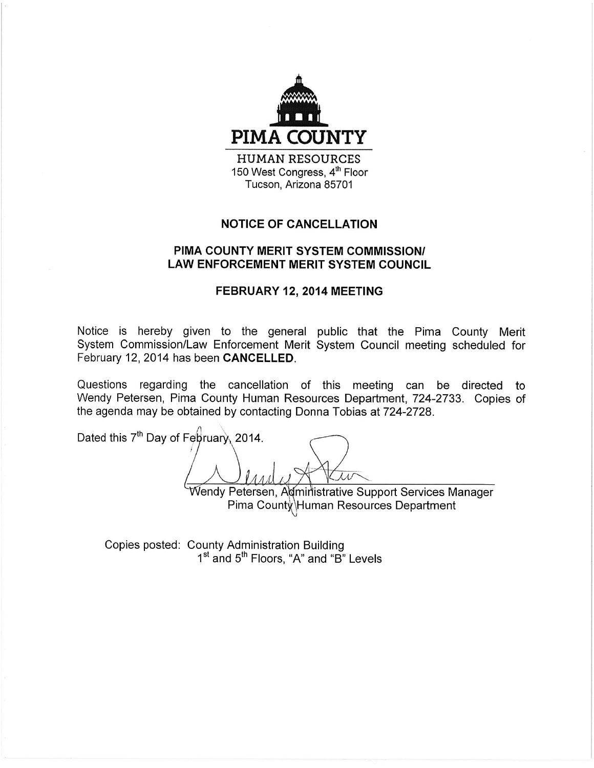

# **NOTICE OF CANCELLATION**

## PIMA COUNTY MERIT SYSTEM COMMISSION/ **LAW ENFORCEMENT MERIT SYSTEM COUNCIL**

### FEBRUARY 12, 2014 MEETING

Notice is hereby given to the general public that the Pima County Merit System Commission/Law Enforcement Merit System Council meeting scheduled for February 12, 2014 has been CANCELLED.

Questions regarding the cancellation of this meeting can be directed to Wendy Petersen, Pima County Human Resources Department, 724-2733. Copies of the agenda may be obtained by contacting Donna Tobias at 724-2728.

Dated this 7<sup>th</sup> Day of February, 2014.

Wendy Petersen, Administrative Support Services Manager Pima County Human Resources Department

Copies posted: County Administration Building 1<sup>st</sup> and 5<sup>th</sup> Floors, "A" and "B" Levels